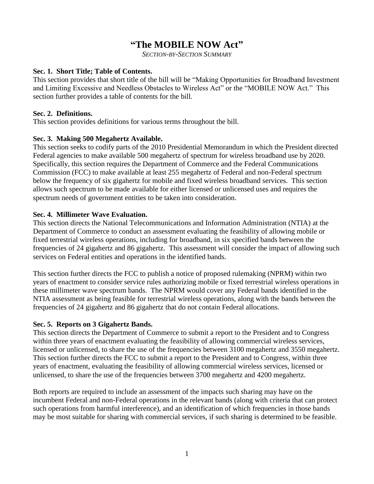# **"The MOBILE NOW Act"**

*SECTION-BY-SECTION SUMMARY*

#### **Sec. 1. Short Title; Table of Contents.**

This section provides that short title of the bill will be "Making Opportunities for Broadband Investment and Limiting Excessive and Needless Obstacles to Wireless Act" or the "MOBILE NOW Act." This section further provides a table of contents for the bill.

#### **Sec. 2. Definitions.**

This section provides definitions for various terms throughout the bill.

### **Sec. 3. Making 500 Megahertz Available.**

This section seeks to codify parts of the 2010 Presidential Memorandum in which the President directed Federal agencies to make available 500 megahertz of spectrum for wireless broadband use by 2020. Specifically, this section requires the Department of Commerce and the Federal Communications Commission (FCC) to make available at least 255 megahertz of Federal and non-Federal spectrum below the frequency of six gigahertz for mobile and fixed wireless broadband services. This section allows such spectrum to be made available for either licensed or unlicensed uses and requires the spectrum needs of government entities to be taken into consideration.

### **Sec. 4. Millimeter Wave Evaluation.**

This section directs the National Telecommunications and Information Administration (NTIA) at the Department of Commerce to conduct an assessment evaluating the feasibility of allowing mobile or fixed terrestrial wireless operations, including for broadband, in six specified bands between the frequencies of 24 gigahertz and 86 gigahertz. This assessment will consider the impact of allowing such services on Federal entities and operations in the identified bands.

This section further directs the FCC to publish a notice of proposed rulemaking (NPRM) within two years of enactment to consider service rules authorizing mobile or fixed terrestrial wireless operations in these millimeter wave spectrum bands. The NPRM would cover any Federal bands identified in the NTIA assessment as being feasible for terrestrial wireless operations, along with the bands between the frequencies of 24 gigahertz and 86 gigahertz that do not contain Federal allocations.

### **Sec. 5. Reports on 3 Gigahertz Bands.**

This section directs the Department of Commerce to submit a report to the President and to Congress within three years of enactment evaluating the feasibility of allowing commercial wireless services, licensed or unlicensed, to share the use of the frequencies between 3100 megahertz and 3550 megahertz. This section further directs the FCC to submit a report to the President and to Congress, within three years of enactment, evaluating the feasibility of allowing commercial wireless services, licensed or unlicensed, to share the use of the frequencies between 3700 megahertz and 4200 megahertz.

Both reports are required to include an assessment of the impacts such sharing may have on the incumbent Federal and non-Federal operations in the relevant bands (along with criteria that can protect such operations from harmful interference), and an identification of which frequencies in those bands may be most suitable for sharing with commercial services, if such sharing is determined to be feasible.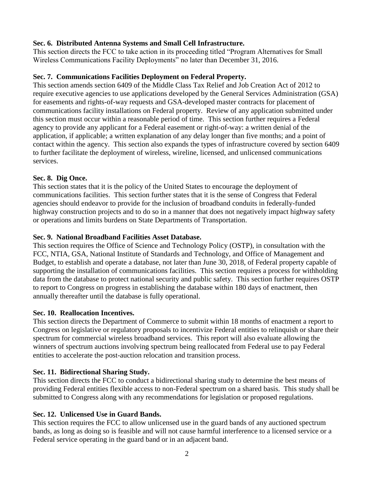### **Sec. 6. Distributed Antenna Systems and Small Cell Infrastructure.**

This section directs the FCC to take action in its proceeding titled "Program Alternatives for Small Wireless Communications Facility Deployments" no later than December 31, 2016.

# **Sec. 7. Communications Facilities Deployment on Federal Property.**

This section amends section 6409 of the Middle Class Tax Relief and Job Creation Act of 2012 to require executive agencies to use applications developed by the General Services Administration (GSA) for easements and rights-of-way requests and GSA-developed master contracts for placement of communications facility installations on Federal property. Review of any application submitted under this section must occur within a reasonable period of time. This section further requires a Federal agency to provide any applicant for a Federal easement or right-of-way: a written denial of the application, if applicable; a written explanation of any delay longer than five months; and a point of contact within the agency. This section also expands the types of infrastructure covered by section 6409 to further facilitate the deployment of wireless, wireline, licensed, and unlicensed communications services.

# **Sec. 8. Dig Once.**

This section states that it is the policy of the United States to encourage the deployment of communications facilities. This section further states that it is the sense of Congress that Federal agencies should endeavor to provide for the inclusion of broadband conduits in federally-funded highway construction projects and to do so in a manner that does not negatively impact highway safety or operations and limits burdens on State Departments of Transportation.

# **Sec. 9. National Broadband Facilities Asset Database.**

This section requires the Office of Science and Technology Policy (OSTP), in consultation with the FCC, NTIA, GSA, National Institute of Standards and Technology, and Office of Management and Budget, to establish and operate a database, not later than June 30, 2018, of Federal property capable of supporting the installation of communications facilities. This section requires a process for withholding data from the database to protect national security and public safety. This section further requires OSTP to report to Congress on progress in establishing the database within 180 days of enactment, then annually thereafter until the database is fully operational.

### **Sec. 10. Reallocation Incentives.**

This section directs the Department of Commerce to submit within 18 months of enactment a report to Congress on legislative or regulatory proposals to incentivize Federal entities to relinquish or share their spectrum for commercial wireless broadband services. This report will also evaluate allowing the winners of spectrum auctions involving spectrum being reallocated from Federal use to pay Federal entities to accelerate the post-auction relocation and transition process.

# **Sec. 11. Bidirectional Sharing Study.**

This section directs the FCC to conduct a bidirectional sharing study to determine the best means of providing Federal entities flexible access to non-Federal spectrum on a shared basis. This study shall be submitted to Congress along with any recommendations for legislation or proposed regulations.

# **Sec. 12. Unlicensed Use in Guard Bands.**

This section requires the FCC to allow unlicensed use in the guard bands of any auctioned spectrum bands, as long as doing so is feasible and will not cause harmful interference to a licensed service or a Federal service operating in the guard band or in an adjacent band.